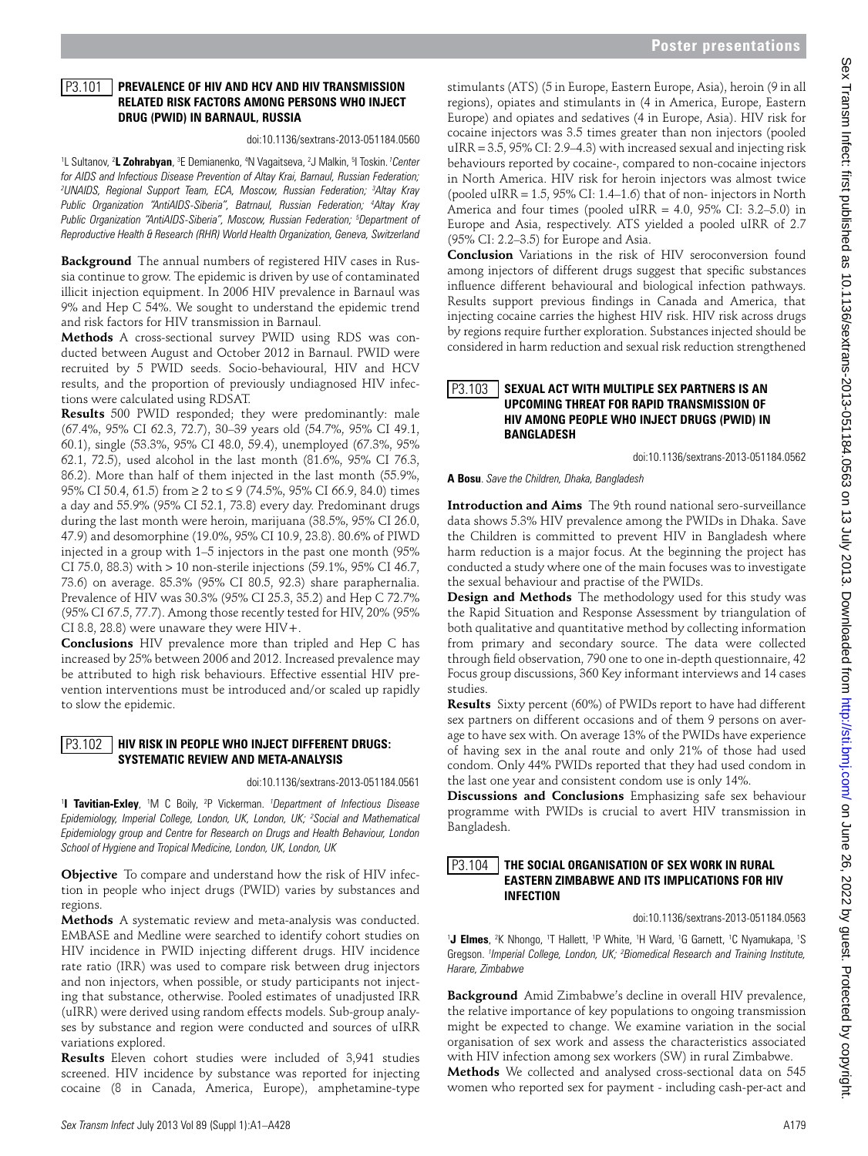#### **Prevalence of HIV and HCV and HIV Transmission Related Risk Factors Among Persons Who Inject Drug (PWID) in Barnaul, Russia** P3.101

## doi:10.1136/sextrans-2013-051184.0560

<sup>1</sup>L Sultanov, <sup>2</sup>L Zohrabyan, <sup>3</sup>E Demianenko, <sup>4</sup>N Vagaitseva, <sup>2</sup>J Malkin, <sup>5</sup>I Toskin. *<sup>1</sup>Center for AIDS and Infectious Disease Prevention of Altay Krai, Barnaul, Russian Federation; 2 UNAIDS, Regional Support Team, ECA, Moscow, Russian Federation; 3 Altay Kray Public Organization "AntiAIDS-Siberia", Batrnaul, Russian Federation; 4 Altay Kray Public Organization "AntiAIDS-Siberia", Moscow, Russian Federation; 5 Department of Reproductive Health & Research (RHR) World Health Organization, Geneva, Switzerland* 

**Background** The annual numbers of registered HIV cases in Russia continue to grow. The epidemic is driven by use of contaminated illicit injection equipment. In 2006 HIV prevalence in Barnaul was 9% and Hep C 54%. We sought to understand the epidemic trend and risk factors for HIV transmission in Barnaul.

**Methods** A cross-sectional survey PWID using RDS was conducted between August and October 2012 in Barnaul. PWID were recruited by 5 PWID seeds. Socio-behavioural, HIV and HCV results, and the proportion of previously undiagnosed HIV infections were calculated using RDSAT.

**Results** 500 PWID responded; they were predominantly: male (67.4%, 95% CI 62.3, 72.7), 30–39 years old (54.7%, 95% CI 49.1, 60.1), single (53.3%, 95% CI 48.0, 59.4), unemployed (67.3%, 95% 62.1, 72.5), used alcohol in the last month (81.6%, 95% CI 76.3, 86.2). More than half of them injected in the last month (55.9%, 95% CI 50.4, 61.5) from ≥ 2 to ≤ 9 (74.5%, 95% CI 66.9, 84.0) times a day and 55.9% (95% CI 52.1, 73.8) every day. Predominant drugs during the last month were heroin, marijuana (38.5%, 95% CI 26.0, 47.9) and desomorphine (19.0%, 95% CI 10.9, 23.8). 80.6% of PIWD injected in a group with 1–5 injectors in the past one month (95% CI 75.0, 88.3) with > 10 non-sterile injections (59.1%, 95% CI 46.7, 73.6) on average. 85.3% (95% CI 80.5, 92.3) share paraphernalia. Prevalence of HIV was 30.3% (95% CI 25.3, 35.2) and Hep C 72.7% (95% CI 67.5, 77.7). Among those recently tested for HIV, 20% (95% CI 8.8, 28.8) were unaware they were  $HIV+$ .

**Conclusions** HIV prevalence more than tripled and Hep C has increased by 25% between 2006 and 2012. Increased prevalence may be attributed to high risk behaviours. Effective essential HIV prevention interventions must be introduced and/or scaled up rapidly to slow the epidemic.

# **HIV Risk in People Who Inject Different Drugs:**  P3.102 **Systematic Review and Meta-Analysis**

doi:10.1136/sextrans-2013-051184.0561

<sup>1</sup> Tavitian-Exley, <sup>1</sup>M C Boily, <sup>2</sup>P Vickerman. *<sup>1</sup>Department of Infectious Disease Epidemiology, Imperial College, London, UK, London, UK; 2 Social and Mathematical Epidemiology group and Centre for Research on Drugs and Health Behaviour, London School of Hygiene and Tropical Medicine, London, UK, London, UK* 

**Objective** To compare and understand how the risk of HIV infection in people who inject drugs (PWID) varies by substances and regions.

**Methods** A systematic review and meta-analysis was conducted. EMBASE and Medline were searched to identify cohort studies on HIV incidence in PWID injecting different drugs. HIV incidence rate ratio (IRR) was used to compare risk between drug injectors and non injectors, when possible, or study participants not injecting that substance, otherwise. Pooled estimates of unadjusted IRR (uIRR) were derived using random effects models. Sub-group analyses by substance and region were conducted and sources of uIRR variations explored.

**Results** Eleven cohort studies were included of 3,941 studies screened. HIV incidence by substance was reported for injecting cocaine (8 in Canada, America, Europe), amphetamine-type

stimulants (ATS) (5 in Europe, Eastern Europe, Asia), heroin (9 in all regions), opiates and stimulants in (4 in America, Europe, Eastern Europe) and opiates and sedatives (4 in Europe, Asia). HIV risk for cocaine injectors was 3.5 times greater than non injectors (pooled uIRR = 3.5, 95% CI: 2.9–4.3) with increased sexual and injecting risk behaviours reported by cocaine-, compared to non-cocaine injectors in North America. HIV risk for heroin injectors was almost twice (pooled uIRR = 1.5, 95% CI: 1.4–1.6) that of non- injectors in North America and four times (pooled uIRR =  $4.0$ ,  $95\%$  CI:  $3.2-5.0$ ) in Europe and Asia, respectively. ATS yielded a pooled uIRR of 2.7 (95% CI: 2.2–3.5) for Europe and Asia.

**Conclusion** Variations in the risk of HIV seroconversion found among injectors of different drugs suggest that specific substances influence different behavioural and biological infection pathways. Results support previous findings in Canada and America, that injecting cocaine carries the highest HIV risk. HIV risk across drugs by regions require further exploration. Substances injected should be considered in harm reduction and sexual risk reduction strengthened

## **Sexual Act with Multiple Sex Partners is an Upcoming Threat For Rapid Transmission of HIV Among People Who Inject Drugs (PWID) in Bangladesh**  $|P3.103|$

doi:10.1136/sextrans-2013-051184.0562

**A Bosu**. *Save the Children, Dhaka, Bangladesh* 

**Introduction and Aims** The 9th round national sero-surveillance data shows 5.3% HIV prevalence among the PWIDs in Dhaka. Save the Children is committed to prevent HIV in Bangladesh where harm reduction is a major focus. At the beginning the project has conducted a study where one of the main focuses was to investigate the sexual behaviour and practise of the PWIDs.

**Design and Methods** The methodology used for this study was the Rapid Situation and Response Assessment by triangulation of both qualitative and quantitative method by collecting information from primary and secondary source. The data were collected through field observation, 790 one to one in-depth questionnaire, 42 Focus group discussions, 360 Key informant interviews and 14 cases studies.

**Results** Sixty percent (60%) of PWIDs report to have had different sex partners on different occasions and of them 9 persons on average to have sex with. On average 13% of the PWIDs have experience of having sex in the anal route and only 21% of those had used condom. Only 44% PWIDs reported that they had used condom in the last one year and consistent condom use is only 14%.

**Discussions and Conclusions** Emphasizing safe sex behaviour programme with PWIDs is crucial to avert HIV transmission in Bangladesh.

### **The Social Organisation of Sex Work in Rural Eastern Zimbabwe and Its Implications For HIV Infection** P3.104

doi:10.1136/sextrans-2013-051184.0563

<sup>1</sup>J Elmes, <sup>2</sup>K Nhongo, <sup>1</sup>T Hallett, <sup>1</sup>P White, <sup>1</sup>H Ward, <sup>1</sup>G Garnett, <sup>1</sup>C Nyamukapa, <sup>1</sup>S Gregson. *<sup>1</sup> Imperial College, London, UK; 2 Biomedical Research and Training Institute, Harare, Zimbabwe* 

**Background** Amid Zimbabwe's decline in overall HIV prevalence, the relative importance of key populations to ongoing transmission might be expected to change. We examine variation in the social organisation of sex work and assess the characteristics associated with HIV infection among sex workers (SW) in rural Zimbabwe. **Methods** We collected and analysed cross-sectional data on 545

women who reported sex for payment - including cash-per-act and